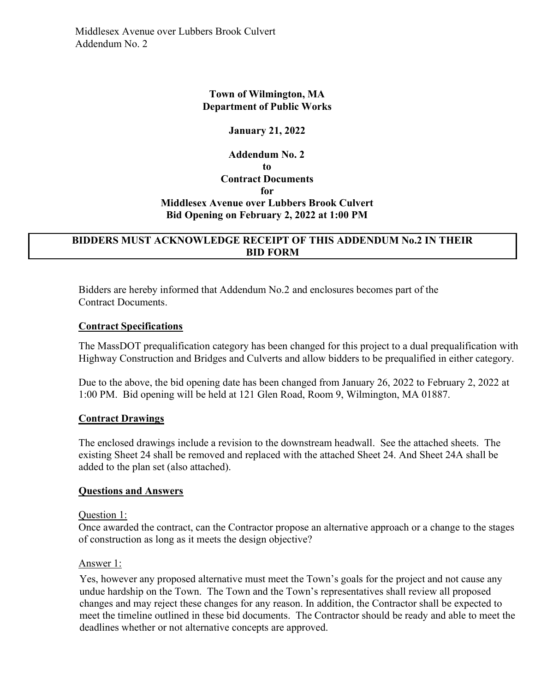# Town of Wilmington, MA Department of Public Works

## January 21, 2022

# Addendum No. 2 to Contract Documents for Middlesex Avenue over Lubbers Brook Culvert Bid Opening on February 2, 2022 at 1:00 PM

# BIDDERS MUST ACKNOWLEDGE RECEIPT OF THIS ADDENDUM No.2 IN THEIR BID FORM

Bidders are hereby informed that Addendum No. 2 and enclosures becomes part of the Contract Documents.

### Contract Specifications

The MassDOT prequalification category has been changed for this project to a dual prequalification with Highway Construction and Bridges and Culverts and allow bidders to be prequalified in either category.

Due to the above, the bid opening date has been changed from January 26, 2022 to February 2, 2022 at 1:00 PM. Bid opening will be held at 121 Glen Road, Room 9, Wilmington, MA 01887.

# Contract Drawings

The enclosed drawings include a revision to the downstream headwall. See the attached sheets. The existing Sheet 24 shall be removed and replaced with the attached Sheet 24. And Sheet 24A shall be added to the plan set (also attached).

### Questions and Answers

### Question 1:

Once awarded the contract, can the Contractor propose an alternative approach or a change to the stages of construction as long as it meets the design objective?

### Answer 1:

 Yes, however any proposed alternative must meet the Town's goals for the project and not cause any undue hardship on the Town. The Town and the Town's representatives shall review all proposed changes and may reject these changes for any reason. In addition, the Contractor shall be expected to meet the timeline outlined in these bid documents. The Contractor should be ready and able to meet the deadlines whether or not alternative concepts are approved.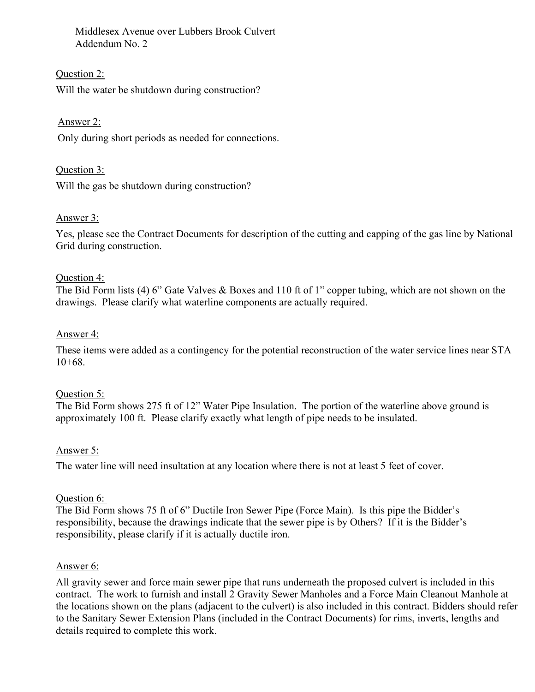Middlesex Avenue over Lubbers Brook Culvert Addendum No. 2

Question 2: Will the water be shutdown during construction?

Answer 2:

Only during short periods as needed for connections.

Question 3: Will the gas be shutdown during construction?

# Answer 3:

Yes, please see the Contract Documents for description of the cutting and capping of the gas line by National Grid during construction.

### Question 4:

The Bid Form lists (4) 6" Gate Valves & Boxes and 110 ft of 1" copper tubing, which are not shown on the drawings. Please clarify what waterline components are actually required.

## Answer 4:

These items were added as a contingency for the potential reconstruction of the water service lines near STA  $10+68.$ 

### Question 5:

The Bid Form shows 275 ft of 12" Water Pipe Insulation. The portion of the waterline above ground is approximately 100 ft. Please clarify exactly what length of pipe needs to be insulated.

### Answer 5:

The water line will need insultation at any location where there is not at least 5 feet of cover.

### Question 6:

The Bid Form shows 75 ft of 6" Ductile Iron Sewer Pipe (Force Main). Is this pipe the Bidder's responsibility, because the drawings indicate that the sewer pipe is by Others? If it is the Bidder's responsibility, please clarify if it is actually ductile iron.

### Answer 6:

All gravity sewer and force main sewer pipe that runs underneath the proposed culvert is included in this contract. The work to furnish and install 2 Gravity Sewer Manholes and a Force Main Cleanout Manhole at the locations shown on the plans (adjacent to the culvert) is also included in this contract. Bidders should refer to the Sanitary Sewer Extension Plans (included in the Contract Documents) for rims, inverts, lengths and details required to complete this work.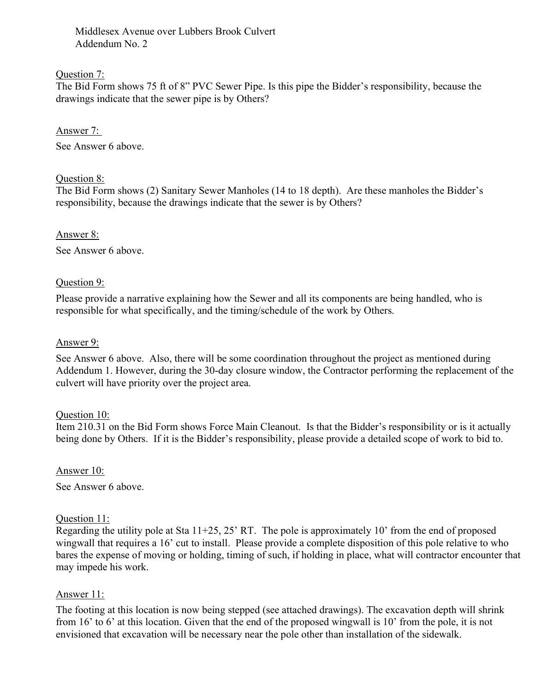Middlesex Avenue over Lubbers Brook Culvert Addendum No. 2

## Question 7:

The Bid Form shows 75 ft of 8" PVC Sewer Pipe. Is this pipe the Bidder's responsibility, because the drawings indicate that the sewer pipe is by Others?

## Answer 7:

See Answer 6 above.

## Question 8:

The Bid Form shows (2) Sanitary Sewer Manholes (14 to 18 depth). Are these manholes the Bidder's responsibility, because the drawings indicate that the sewer is by Others?

## Answer 8:

See Answer 6 above.

## Question 9:

Please provide a narrative explaining how the Sewer and all its components are being handled, who is responsible for what specifically, and the timing/schedule of the work by Others.

## Answer 9:

See Answer 6 above. Also, there will be some coordination throughout the project as mentioned during Addendum 1. However, during the 30-day closure window, the Contractor performing the replacement of the culvert will have priority over the project area.

# Question 10:

Item 210.31 on the Bid Form shows Force Main Cleanout. Is that the Bidder's responsibility or is it actually being done by Others. If it is the Bidder's responsibility, please provide a detailed scope of work to bid to.

Answer 10:

See Answer 6 above.

# Question 11:

Regarding the utility pole at Sta 11+25, 25' RT. The pole is approximately 10' from the end of proposed wingwall that requires a 16' cut to install. Please provide a complete disposition of this pole relative to who bares the expense of moving or holding, timing of such, if holding in place, what will contractor encounter that may impede his work.

# Answer 11:

The footing at this location is now being stepped (see attached drawings). The excavation depth will shrink from 16' to 6' at this location. Given that the end of the proposed wingwall is 10' from the pole, it is not envisioned that excavation will be necessary near the pole other than installation of the sidewalk.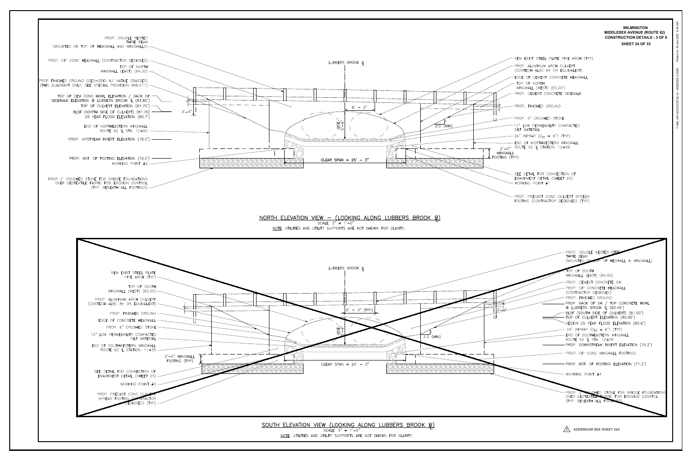

T1080\_HD10(CON DETAILS) - ADDENDA 2.DWG 20-Jan-2022 9:34 AM<br>T